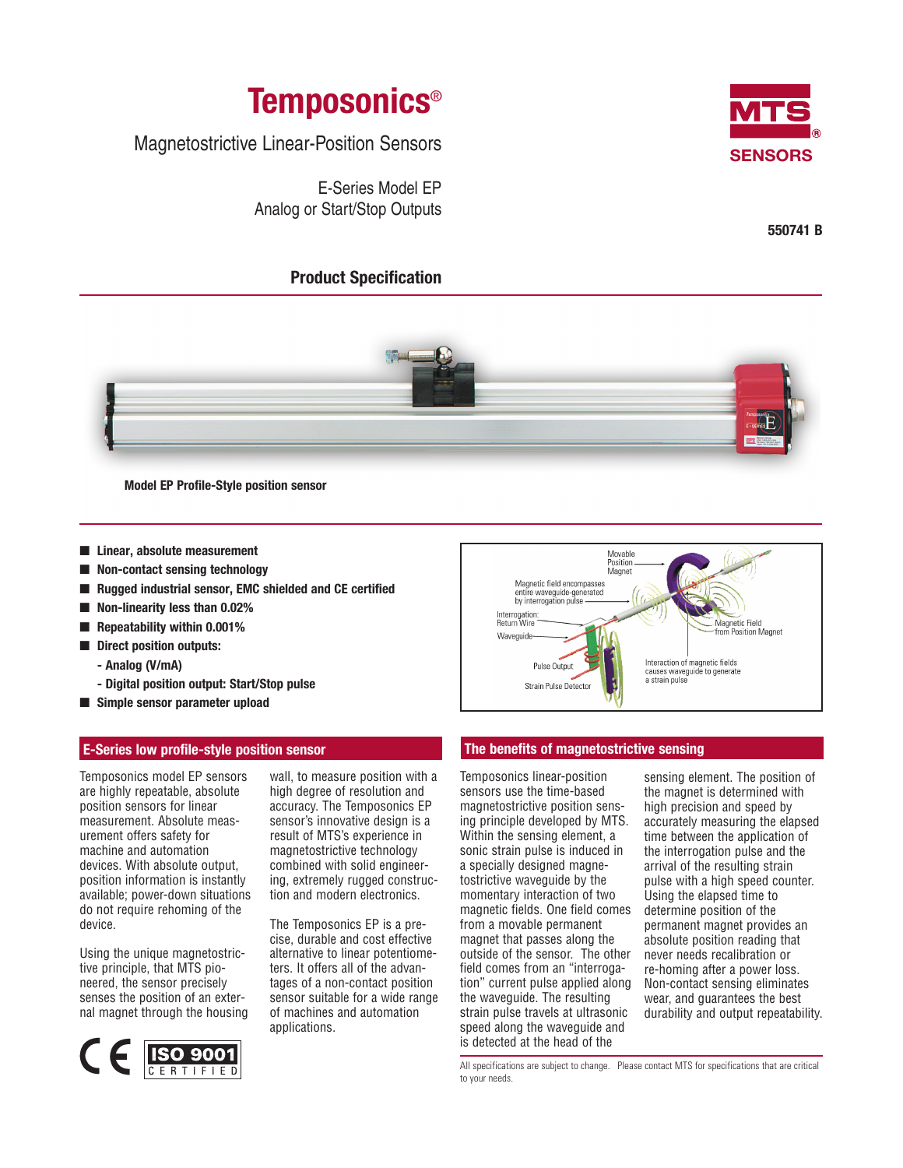

Magnetostrictive Linear-Position Sensors

E-Series Model EP Analog or Start/Stop Outputs

# **Product Specification**



**550741 B**



**Model EP Profile-Style position sensor**

- **Linear, absolute measurement**
- **Non-contact sensing technology**
- **Rugged industrial sensor, EMC shielded and CE certified**
- **Non-linearity less than 0.02%**
- **Repeatability within 0.001%**
- **Direct position outputs:**
	- **Analog (V/mA)**
	- **Digital position output: Start/Stop pulse**
- **Simple sensor parameter upload**

## **E-Series low profile-style position sensor**

Temposonics model EP sensors are highly repeatable, absolute position sensors for linear measurement. Absolute measurement offers safety for machine and automation devices. With absolute output, position information is instantly available; power-down situations do not require rehoming of the device.

Using the unique magnetostrictive principle, that MTS pioneered, the sensor precisely senses the position of an external magnet through the housing



wall, to measure position with a high degree of resolution and accuracy. The Temposonics EP sensor's innovative design is a result of MTS's experience in magnetostrictive technology combined with solid engineering, extremely rugged construction and modern electronics.

The Temposonics EP is a precise, durable and cost effective alternative to linear potentiometers. It offers all of the advantages of a non-contact position sensor suitable for a wide range of machines and automation applications.



## **The benefits of magnetostrictive sensing**

Temposonics linear-position sensors use the time-based magnetostrictive position sensing principle developed by MTS. Within the sensing element, a sonic strain pulse is induced in a specially designed magnetostrictive waveguide by the momentary interaction of two magnetic fields. One field comes from a movable permanent magnet that passes along the outside of the sensor. The other field comes from an "interrogation" current pulse applied along the waveguide. The resulting strain pulse travels at ultrasonic speed along the waveguide and is detected at the head of the

sensing element. The position of the magnet is determined with high precision and speed by accurately measuring the elapsed time between the application of the interrogation pulse and the arrival of the resulting strain pulse with a high speed counter. Using the elapsed time to determine position of the permanent magnet provides an absolute position reading that never needs recalibration or re-homing after a power loss. Non-contact sensing eliminates wear, and guarantees the best durability and output repeatability.

All specifications are subject to change. Please contact MTS for specifications that are critical to your needs.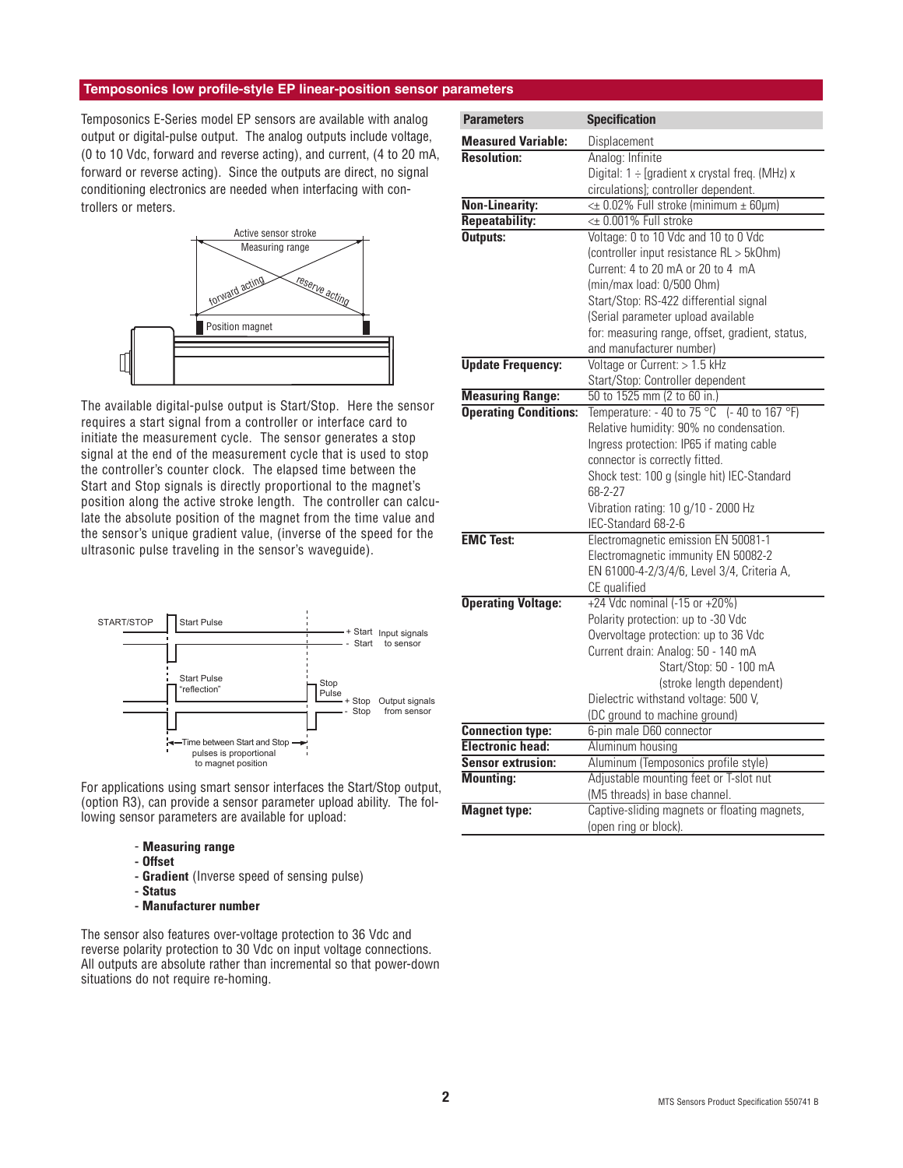## **Temposonics low profile-style EP linear-position sensor parameters**

Temposonics E-Series model EP sensors are available with analog output or digital-pulse output. The analog outputs include voltage, (0 to 10 Vdc, forward and reverse acting), and current, (4 to 20 mA, forward or reverse acting). Since the outputs are direct, no signal conditioning electronics are needed when interfacing with controllers or meters.



The available digital-pulse output is Start/Stop. Here the sensor requires a start signal from a controller or interface card to initiate the measurement cycle. The sensor generates a stop signal at the end of the measurement cycle that is used to stop the controller's counter clock. The elapsed time between the Start and Stop signals is directly proportional to the magnet's position along the active stroke length. The controller can calculate the absolute position of the magnet from the time value and the sensor's unique gradient value, (inverse of the speed for the ultrasonic pulse traveling in the sensor's waveguide).



For applications using smart sensor interfaces the Start/Stop output, (option R3), can provide a sensor parameter upload ability. The following sensor parameters are available for upload:

- **Measuring range**
- **Offset**
- **Gradient** (Inverse speed of sensing pulse)
- **Status**
- **Manufacturer number**

The sensor also features over-voltage protection to 36 Vdc and reverse polarity protection to 30 Vdc on input voltage connections. All outputs are absolute rather than incremental so that power-down situations do not require re-homing.

| <b>Parameters</b>            | <b>Specification</b>                                |
|------------------------------|-----------------------------------------------------|
| <b>Measured Variable:</b>    | Displacement                                        |
| <b>Resolution:</b>           | Analog: Infinite                                    |
|                              | Digital: $1 \div$ [gradient x crystal freq. (MHz) x |
|                              | circulations]; controller dependent.                |
| <b>Non-Linearity:</b>        | $\leq$ 0.02% Full stroke (minimum $\pm$ 60µm)       |
| <b>Repeatability:</b>        | <± 0.001% Full stroke                               |
| Outputs:                     | Voltage: 0 to 10 Vdc and 10 to 0 Vdc                |
|                              | (controller input resistance RL > 5k0hm)            |
|                              | Current: 4 to 20 mA or 20 to 4 mA                   |
|                              | (min/max load: 0/500 Ohm)                           |
|                              | Start/Stop: RS-422 differential signal              |
|                              | (Serial parameter upload available                  |
|                              | for: measuring range, offset, gradient, status,     |
|                              | and manufacturer number)                            |
| <b>Update Frequency:</b>     | Voltage or Current: > 1.5 kHz                       |
|                              | Start/Stop: Controller dependent                    |
| <b>Measuring Range:</b>      | 50 to 1525 mm (2 to 60 in.)                         |
| <b>Operating Conditions:</b> | Temperature: $-40$ to 75 °C $(-40$ to 167 °F)       |
|                              | Relative humidity: 90% no condensation.             |
|                              | Ingress protection: IP65 if mating cable            |
|                              | connector is correctly fitted.                      |
|                              | Shock test: 100 g (single hit) IEC-Standard         |
|                              | 68-2-27                                             |
|                              | Vibration rating: 10 g/10 - 2000 Hz                 |
|                              | IEC-Standard 68-2-6                                 |
| <b>EMC Test:</b>             | Electromagnetic emission EN 50081-1                 |
|                              | Electromagnetic immunity EN 50082-2                 |
|                              | EN 61000-4-2/3/4/6, Level 3/4, Criteria A,          |
|                              | CE qualified                                        |
| <b>Operating Voltage:</b>    | +24 Vdc nominal $(-15$ or $+20\%)$                  |
|                              | Polarity protection: up to -30 Vdc                  |
|                              | Overvoltage protection: up to 36 Vdc                |
|                              | Current drain: Analog: 50 - 140 mA                  |
|                              | Start/Stop: 50 - 100 mA                             |
|                              | (stroke length dependent)                           |
|                              | Dielectric withstand voltage: 500 V,                |
|                              | (DC ground to machine ground)                       |
| <b>Connection type:</b>      | 6-pin male D60 connector                            |
| <b>Electronic head:</b>      | Aluminum housing                                    |
| <b>Sensor extrusion:</b>     | Aluminum (Temposonics profile style)                |
| <b>Mounting:</b>             | Adjustable mounting feet or T-slot nut              |
|                              | (M5 threads) in base channel.                       |
| <b>Magnet type:</b>          | Captive-sliding magnets or floating magnets,        |
|                              | (open ring or block).                               |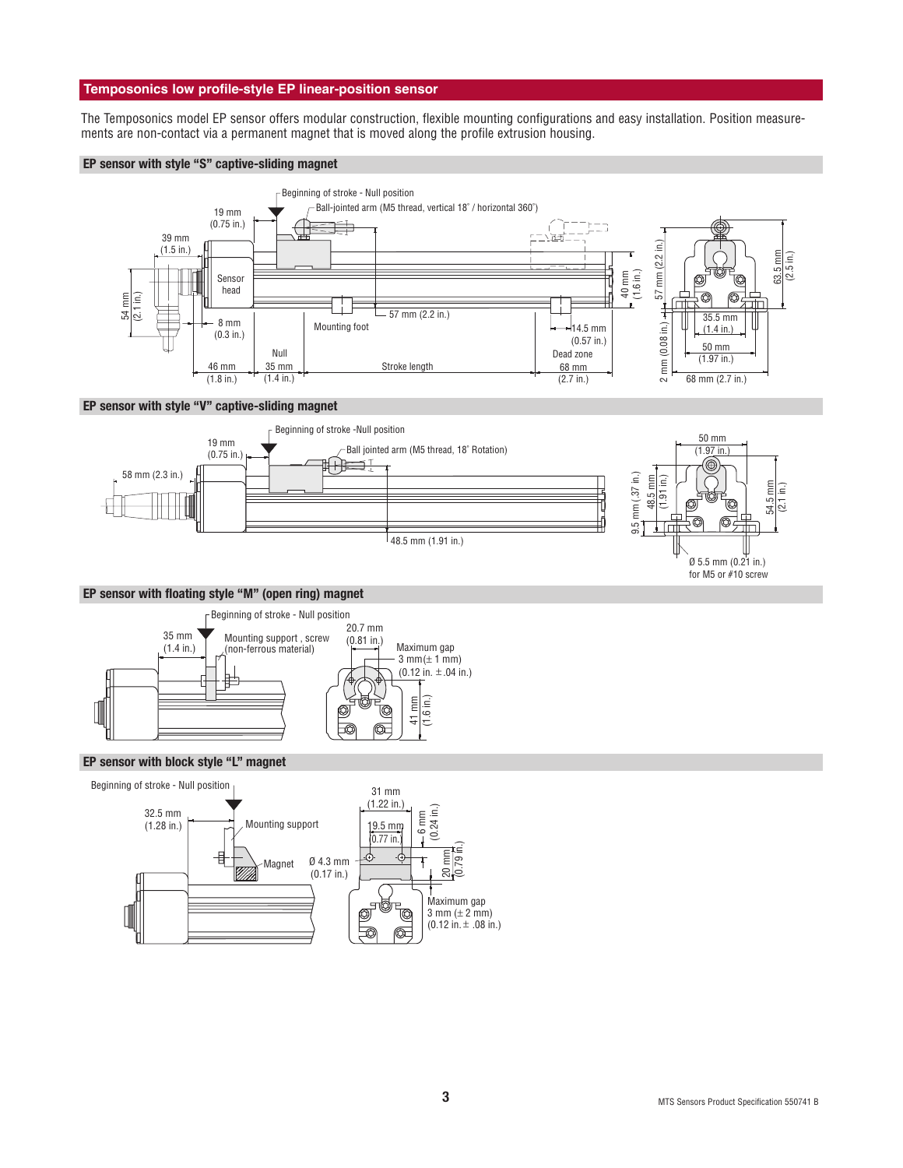## **Temposonics low profile-style EP linear-position sensor**

The Temposonics model EP sensor offers modular construction, flexible mounting configurations and easy installation. Position measurements are non-contact via a permanent magnet that is moved along the profile extrusion housing.

### **EP sensor with style "S" captive-sliding magnet**



## **EP sensor with style "V" captive-sliding magnet**



#### **EP sensor with floating style "M" (open ring) magnet**



### **EP sensor with block style "L" magnet**



for M5 or #10 screw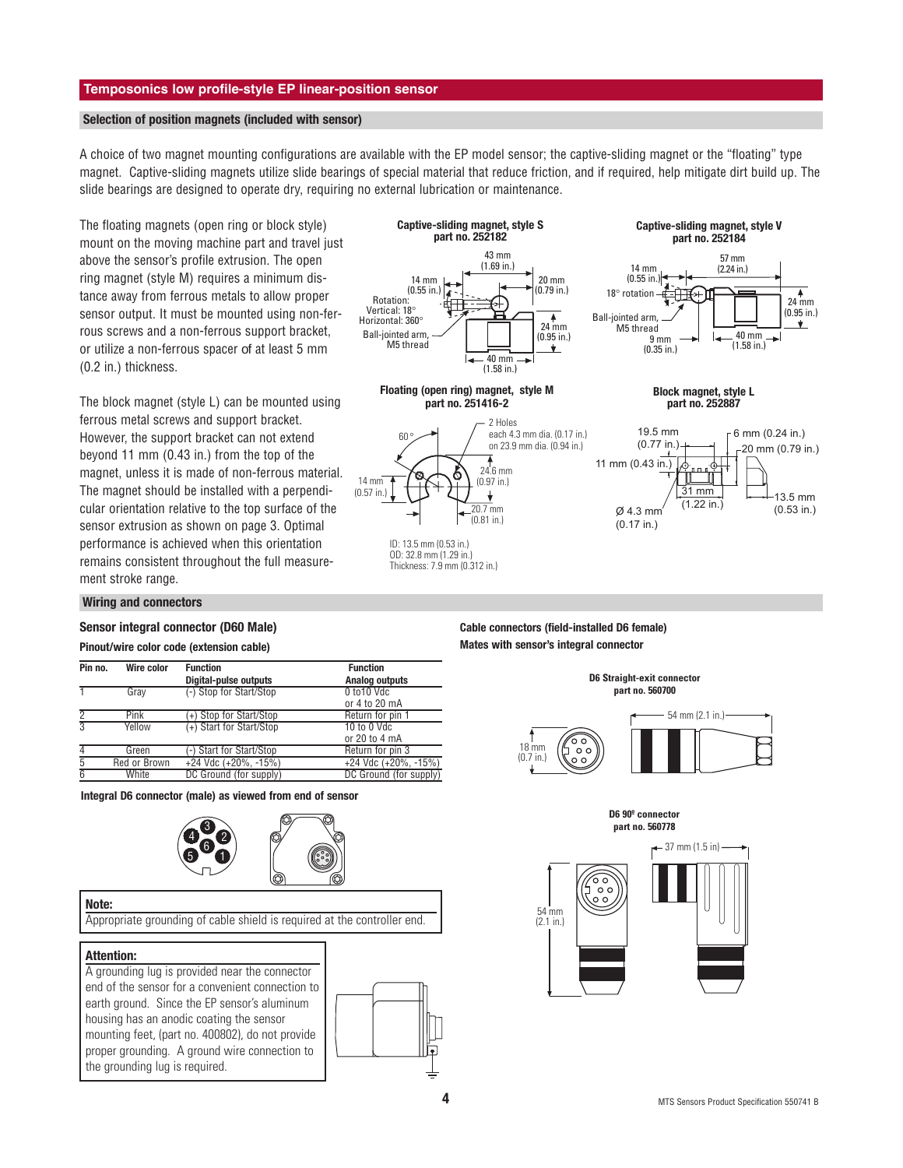## **Temposonics low profile-style EP linear-position sensor**

#### **Selection of position magnets (included with sensor)**

A choice of two magnet mounting configurations are available with the EP model sensor; the captive-sliding magnet or the "floating" type magnet. Captive-sliding magnets utilize slide bearings of special material that reduce friction, and if required, help mitigate dirt build up. The slide bearings are designed to operate dry, requiring no external lubrication or maintenance.

The floating magnets (open ring or block style) mount on the moving machine part and travel just above the sensor's profile extrusion. The open ring magnet (style M) requires a minimum distance away from ferrous metals to allow proper sensor output. It must be mounted using non-ferrous screws and a non-ferrous support bracket, or utilize a non-ferrous spacer of at least 5 mm (0.2 in.) thickness.

The block magnet (style L) can be mounted using ferrous metal screws and support bracket. However, the support bracket can not extend beyond 11 mm (0.43 in.) from the top of the magnet, unless it is made of non-ferrous material. The magnet should be installed with a perpendicular orientation relative to the top surface of the sensor extrusion as shown on page 3. Optimal performance is achieved when this orientation remains consistent throughout the full measurement stroke range.

#### Rotation:<br>Vertical: 18  $\overline{H}$   $\overline{H}$   $\overline{H}$   $\overline{H}$   $\overline{H}$   $\overline{H}$   $\overline{H}$   $\overline{H}$   $\overline{H}$   $\overline{H}$   $\overline{H}$   $\overline{H}$   $\overline{H}$   $\overline{H}$   $\overline{H}$   $\overline{H}$   $\overline{H}$   $\overline{H}$   $\overline{H}$   $\overline{H}$   $\overline{H}$   $\overline{H}$   $\overline{H}$   $\overline{H}$   $\overline{$  $(0.95 \text{ in.})$ 43 mm (1.69 in.) 14 mm (0.55 in.)  $-40$  mm (1.58 in.) 20 mm (0.79 in.) Ball-jointed arm, M5 thread **Captive-sliding magnet, style S part no. 252182**

24.6 mm (0.97 in.)

 $\frac{1}{20.7}$  mm (0.81 in.)

 $\overline{\mathbf{v}}$ 

60 °

۲R

ID: 13.5 mm (0.53 in.) OD: 32.8 mm (1.29 in.) Thickness: 7.9 mm (0.312 in.)

14 mm (0.57 in.)







57 mm

**Captive-sliding magnet, style V part no. 252184**

> 24 mm  $(0.95 \text{ in.})$

₳



#### **Wiring and connectors**

#### **Sensor integral connector (D60 Male)**

#### **Pinout/wire color code (extension cable)**

| Pin no.        | Wire color   | <b>Function</b><br><b>Digital-pulse outputs</b> | <b>Function</b><br><b>Analog outputs</b> |
|----------------|--------------|-------------------------------------------------|------------------------------------------|
|                | Gray         | (-) Stop for Start/Stop                         | $0$ to $10$ Vdc<br>or 4 to 20 mA         |
|                | Pink         | +) Stop for Start/Stop                          | Return for pin 1                         |
| $\overline{3}$ | Yellow       | (+) Start for Start/Stop                        | $10$ to $0$ Vdc<br>or 20 to 4 mA         |
|                | Green        | (-) Start for Start/Stop                        | Return for pin 3                         |
| 5              | Red or Brown | $+24$ Vdc $(+20\%,-15\%)$                       | $+24$ Vdc $(+20\%,-15\%)$                |
| $\overline{6}$ | White        | DC Ground (for supply)                          | DC Ground (for supply)                   |

**Integral D6 connector (male) as viewed from end of sensor**



#### **Note:**

Appropriate grounding of cable shield is required at the controller end.

#### **Attention:**

A grounding lug is provided near the connector end of the sensor for a convenient connection to earth ground. Since the EP sensor's aluminum housing has an anodic coating the sensor mounting feet, (part no. 400802), do not provide proper grounding. A ground wire connection to the grounding lug is required.



**Cable connectors (field-installed D6 female) Mates with sensor's integral connector**



**D6 90º connector part no. 560778**

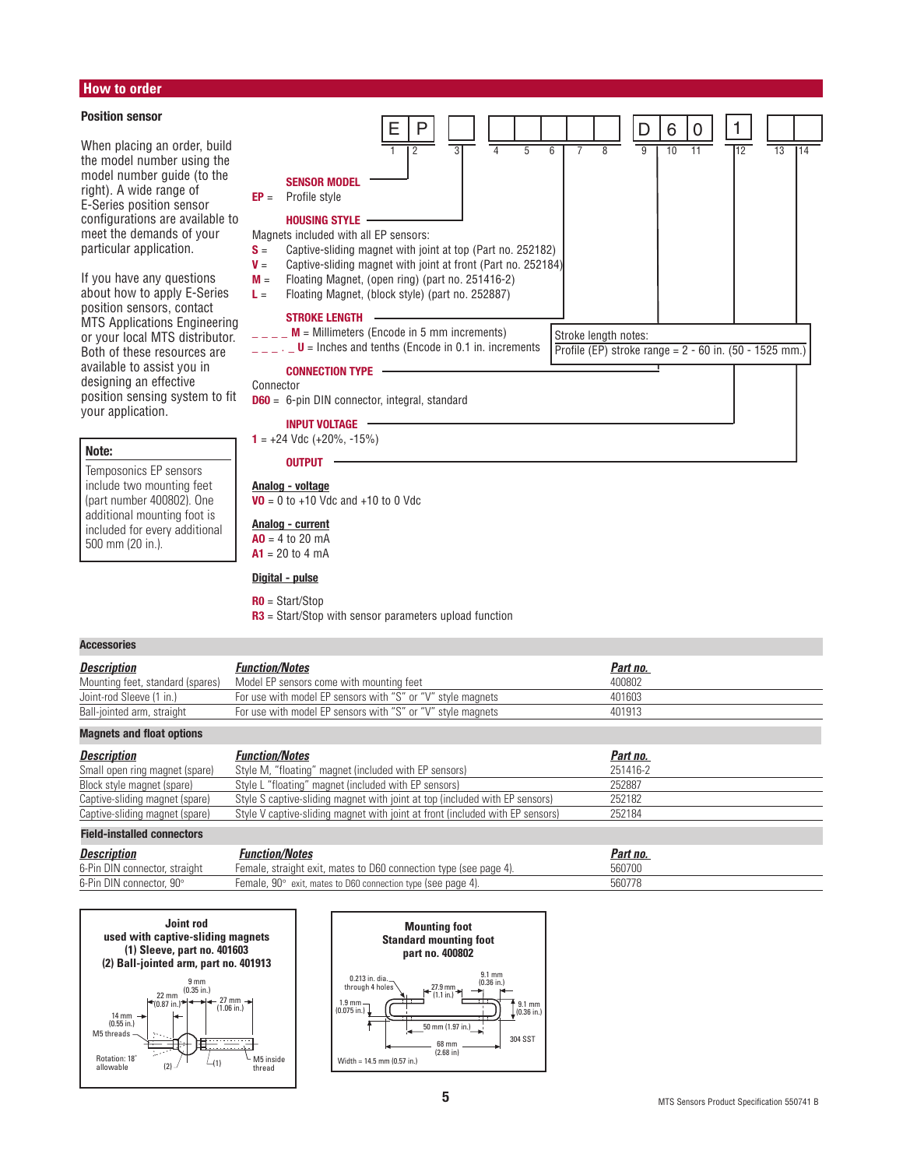## **How to order**

#### **Position sensor**

When placing an order, build the model number using the model number guide (to the right). A wide range of E-Series position sensor configurations are available to meet the demands of your particular application.

If you have any questions about how to apply E-Series position sensors, contact MTS Applications Engineering or your local MTS distributor. Both of these resources are available to assist you in designing an effective position sensing system to fit your application.

### **Note:**

#### Temposonics EP sensors include two mounting feet (part number 400802). One additional mounting foot is included for every additional

#### **SENSOR MODEL EP** = Profile style **HOUSING STYLE** Magnets included with all EP sensors: **S** = Captive-sliding magnet with joint at top (Part no. 252182) **V** = Captive-sliding magnet with joint at front (Part no. 252184) **M** = Floating Magnet, (open ring) (part no. 251416-2) **L** = Floating Magnet, (block style) (part no. 252887) **STROKE LENGTH**  $\angle$   $\angle$   $\angle$   $\angle$  **M** = Millimeters (Encode in 5 mm increments)  $\blacksquare$   $\blacksquare$   $\blacksquare$  **U** = Inches and tenths (Encode in 0.1 in. increments **CONNECTION TYPE** Connector **D60** = 6-pin DIN connector, integral, standard **INPUT VOLTAGE** Stroke length notes: Profile (EP) stroke range =  $2 - 60$  in. (50 - 1525 mm.)

 $D | 6 | 0$ 

1

1 2 3 4 5 6 7 8 9 10 11 12 13 14

E | P

 $1 = +24$  Vdc  $(+20\%,-15\%)$ 

## **OUTPUT**

**Analog - voltage VO** = 0 to  $+10$  Vdc and  $+10$  to 0 Vdc

#### **Analog - current**

 $AD = 4 to 20 mA$  $A1 = 20$  to 4 mA

## **Digital - pulse**

### **R0** = Start/Stop

**R3** = Start/Stop with sensor parameters upload function

#### **Accessories**

500 mm (20 in.).

| <b>Description</b>               | <b>Function/Notes</b>                                       | Part no. |
|----------------------------------|-------------------------------------------------------------|----------|
| Mounting feet, standard (spares) | Model EP sensors come with mounting feet                    | 400802   |
| Joint-rod Sleeve (1 in.)         | For use with model EP sensors with "S" or "V" style magnets | 401603   |
| Ball-jointed arm, straight       | For use with model EP sensors with "S" or "V" style magnets | 401913   |

#### **Magnets and float options**

| <b>Description</b>             | <b>Function/Notes</b>                                                         | Part no. |
|--------------------------------|-------------------------------------------------------------------------------|----------|
| Small open ring magnet (spare) | Style M, "floating" magnet (included with EP sensors)                         | 251416-2 |
| Block style magnet (spare)     | Style L "floating" magnet (included with EP sensors)                          | 252887   |
| Captive-sliding magnet (spare) | Style S captive-sliding magnet with joint at top (included with EP sensors)   | 252182   |
| Captive-sliding magnet (spare) | Style V captive-sliding magnet with joint at front (included with EP sensors) | 252184   |

#### **Field-installed connectors**

| <b>Description</b>            | Function/Notes                                                      | Part no. |
|-------------------------------|---------------------------------------------------------------------|----------|
| 6-Pin DIN connector, straight | Female, straight exit, mates to D60 connection type (see page 4).   | 560700   |
| 6-Pin DIN connector, 90°      | Female, $90^\circ$ exit, mates to D60 connection type (see page 4). | 560778   |